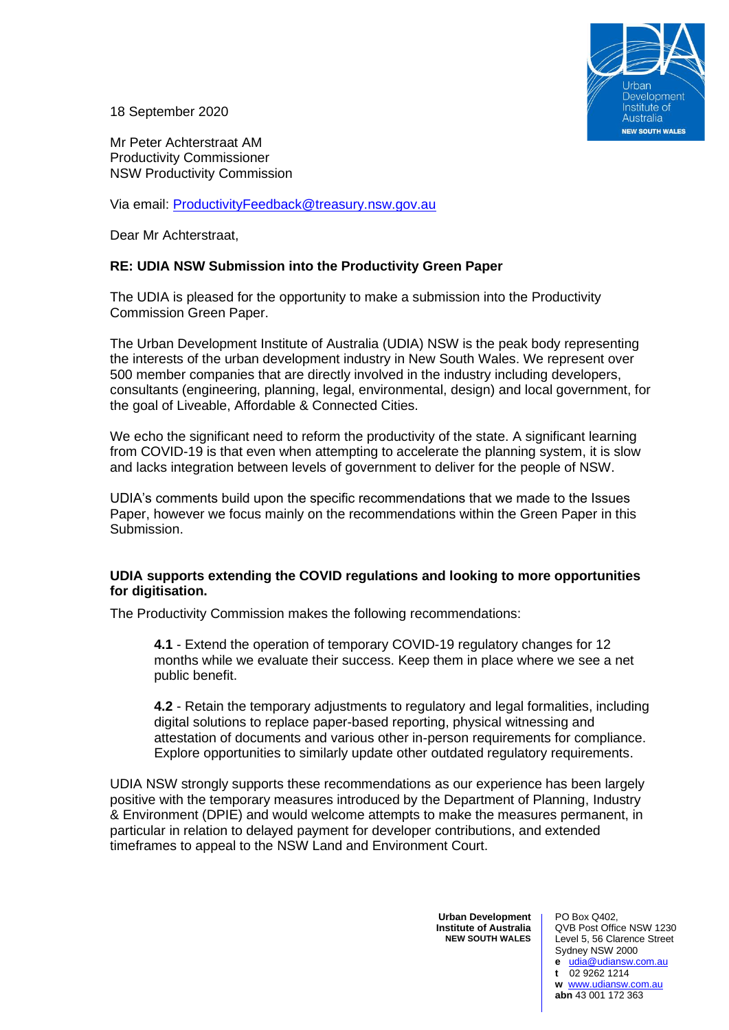

18 September 2020

Mr Peter Achterstraat AM Productivity Commissioner NSW Productivity Commission

Via email: [ProductivityFeedback@treasury.nsw.gov.au](mailto:ProductivityFeedback@treasury.nsw.gov.au)

Dear Mr Achterstraat,

# **RE: UDIA NSW Submission into the Productivity Green Paper**

The UDIA is pleased for the opportunity to make a submission into the Productivity Commission Green Paper.

The Urban Development Institute of Australia (UDIA) NSW is the peak body representing the interests of the urban development industry in New South Wales. We represent over 500 member companies that are directly involved in the industry including developers, consultants (engineering, planning, legal, environmental, design) and local government, for the goal of Liveable, Affordable & Connected Cities.

We echo the significant need to reform the productivity of the state. A significant learning from COVID-19 is that even when attempting to accelerate the planning system, it is slow and lacks integration between levels of government to deliver for the people of NSW.

UDIA's comments build upon the specific recommendations that we made to the Issues Paper, however we focus mainly on the recommendations within the Green Paper in this Submission.

## **UDIA supports extending the COVID regulations and looking to more opportunities for digitisation.**

The Productivity Commission makes the following recommendations:

**4.1** - Extend the operation of temporary COVID-19 regulatory changes for 12 months while we evaluate their success. Keep them in place where we see a net public benefit.

**4.2** - Retain the temporary adjustments to regulatory and legal formalities, including digital solutions to replace paper-based reporting, physical witnessing and attestation of documents and various other in-person requirements for compliance. Explore opportunities to similarly update other outdated regulatory requirements.

UDIA NSW strongly supports these recommendations as our experience has been largely positive with the temporary measures introduced by the Department of Planning, Industry & Environment (DPIE) and would welcome attempts to make the measures permanent, in particular in relation to delayed payment for developer contributions, and extended timeframes to appeal to the NSW Land and Environment Court.

> **Urban Development Institute of Australia NEW SOUTH WALES**

PO Box Q402, QVB Post Office NSW 1230 Level 5, 56 Clarence Street Sydney NSW 2000 **e** [udia@udiansw.com.au](mailto:udia@udiansw.com.au) **t** 02 9262 1214 **w** [www.udiansw.com.au](http://www.udiansw.com.au/) **abn** 43 001 172 363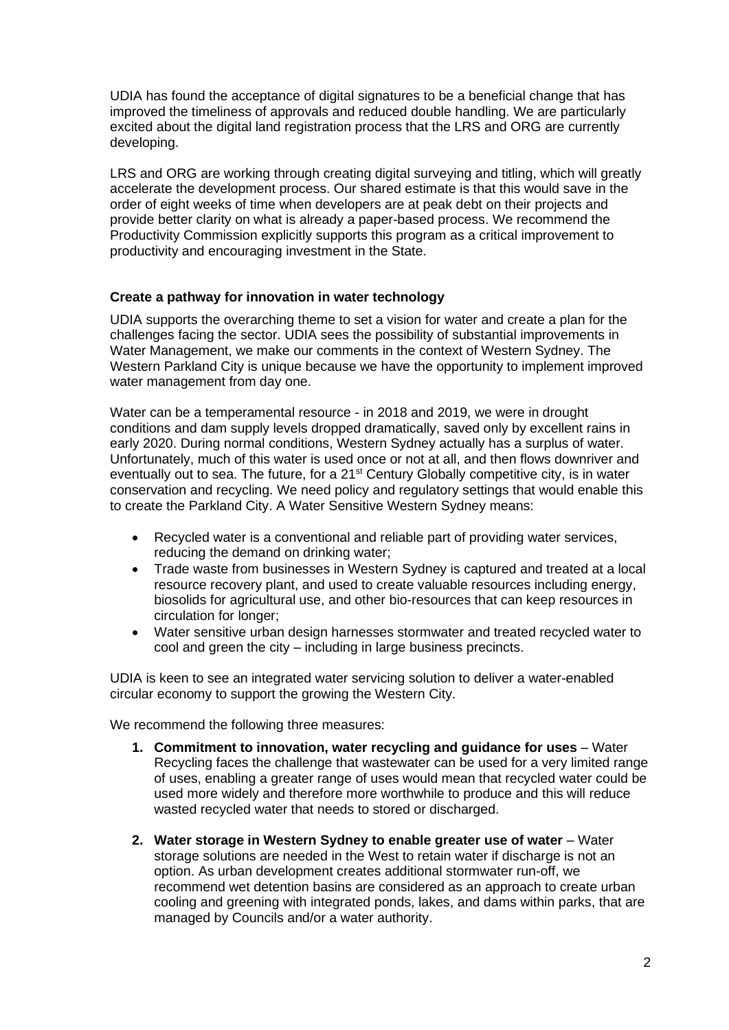UDIA has found the acceptance of digital signatures to be a beneficial change that has improved the timeliness of approvals and reduced double handling. We are particularly excited about the digital land registration process that the LRS and ORG are currently developing.

LRS and ORG are working through creating digital surveying and titling, which will greatly accelerate the development process. Our shared estimate is that this would save in the order of eight weeks of time when developers are at peak debt on their projects and provide better clarity on what is already a paper-based process. We recommend the Productivity Commission explicitly supports this program as a critical improvement to productivity and encouraging investment in the State.

# **Create a pathway for innovation in water technology**

UDIA supports the overarching theme to set a vision for water and create a plan for the challenges facing the sector. UDIA sees the possibility of substantial improvements in Water Management, we make our comments in the context of Western Sydney. The Western Parkland City is unique because we have the opportunity to implement improved water management from day one.

Water can be a temperamental resource - in 2018 and 2019, we were in drought conditions and dam supply levels dropped dramatically, saved only by excellent rains in early 2020. During normal conditions, Western Sydney actually has a surplus of water. Unfortunately, much of this water is used once or not at all, and then flows downriver and eventually out to sea. The future, for a 21<sup>st</sup> Century Globally competitive city, is in water conservation and recycling. We need policy and regulatory settings that would enable this to create the Parkland City. A Water Sensitive Western Sydney means:

- Recycled water is a conventional and reliable part of providing water services, reducing the demand on drinking water;
- Trade waste from businesses in Western Sydney is captured and treated at a local resource recovery plant, and used to create valuable resources including energy, biosolids for agricultural use, and other bio-resources that can keep resources in circulation for longer;
- Water sensitive urban design harnesses stormwater and treated recycled water to cool and green the city – including in large business precincts.

UDIA is keen to see an integrated water servicing solution to deliver a water-enabled circular economy to support the growing the Western City.

We recommend the following three measures:

- **1. Commitment to innovation, water recycling and guidance for uses**  Water Recycling faces the challenge that wastewater can be used for a very limited range of uses, enabling a greater range of uses would mean that recycled water could be used more widely and therefore more worthwhile to produce and this will reduce wasted recycled water that needs to stored or discharged.
- **2. Water storage in Western Sydney to enable greater use of water**  Water storage solutions are needed in the West to retain water if discharge is not an option. As urban development creates additional stormwater run-off, we recommend wet detention basins are considered as an approach to create urban cooling and greening with integrated ponds, lakes, and dams within parks, that are managed by Councils and/or a water authority.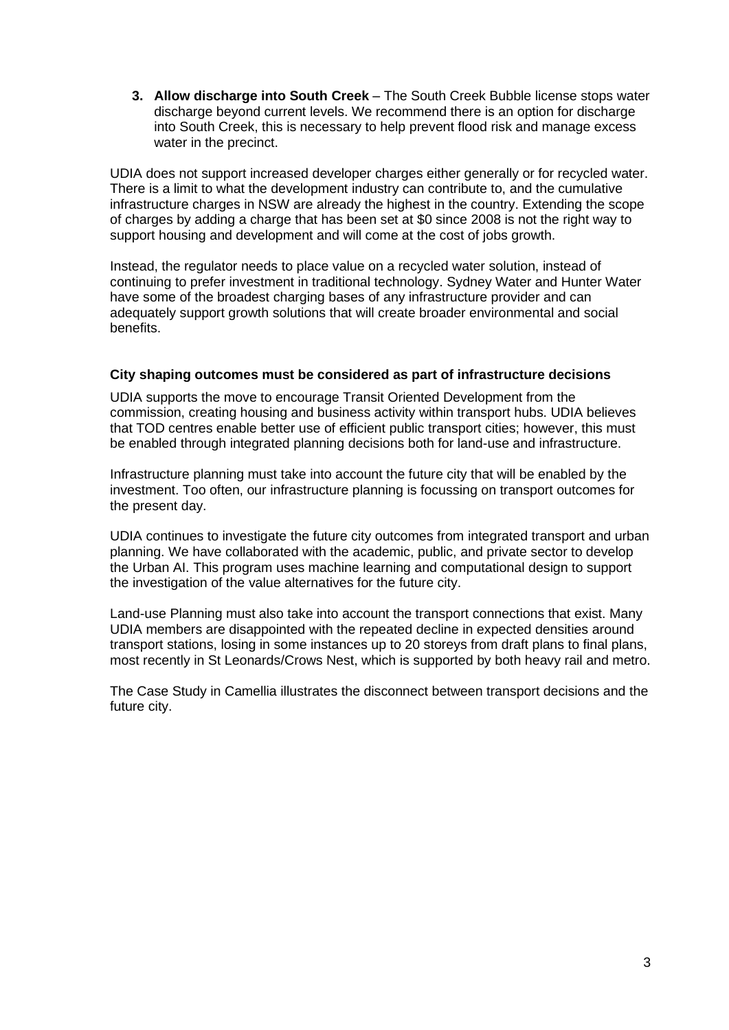**3. Allow discharge into South Creek** – The South Creek Bubble license stops water discharge beyond current levels. We recommend there is an option for discharge into South Creek, this is necessary to help prevent flood risk and manage excess water in the precinct.

UDIA does not support increased developer charges either generally or for recycled water. There is a limit to what the development industry can contribute to, and the cumulative infrastructure charges in NSW are already the highest in the country. Extending the scope of charges by adding a charge that has been set at \$0 since 2008 is not the right way to support housing and development and will come at the cost of jobs growth.

Instead, the regulator needs to place value on a recycled water solution, instead of continuing to prefer investment in traditional technology. Sydney Water and Hunter Water have some of the broadest charging bases of any infrastructure provider and can adequately support growth solutions that will create broader environmental and social benefits.

## **City shaping outcomes must be considered as part of infrastructure decisions**

UDIA supports the move to encourage Transit Oriented Development from the commission, creating housing and business activity within transport hubs. UDIA believes that TOD centres enable better use of efficient public transport cities; however, this must be enabled through integrated planning decisions both for land-use and infrastructure.

Infrastructure planning must take into account the future city that will be enabled by the investment. Too often, our infrastructure planning is focussing on transport outcomes for the present day.

UDIA continues to investigate the future city outcomes from integrated transport and urban planning. We have collaborated with the academic, public, and private sector to develop the Urban AI. This program uses machine learning and computational design to support the investigation of the value alternatives for the future city.

Land-use Planning must also take into account the transport connections that exist. Many UDIA members are disappointed with the repeated decline in expected densities around transport stations, losing in some instances up to 20 storeys from draft plans to final plans, most recently in St Leonards/Crows Nest, which is supported by both heavy rail and metro.

The Case Study in Camellia illustrates the disconnect between transport decisions and the future city.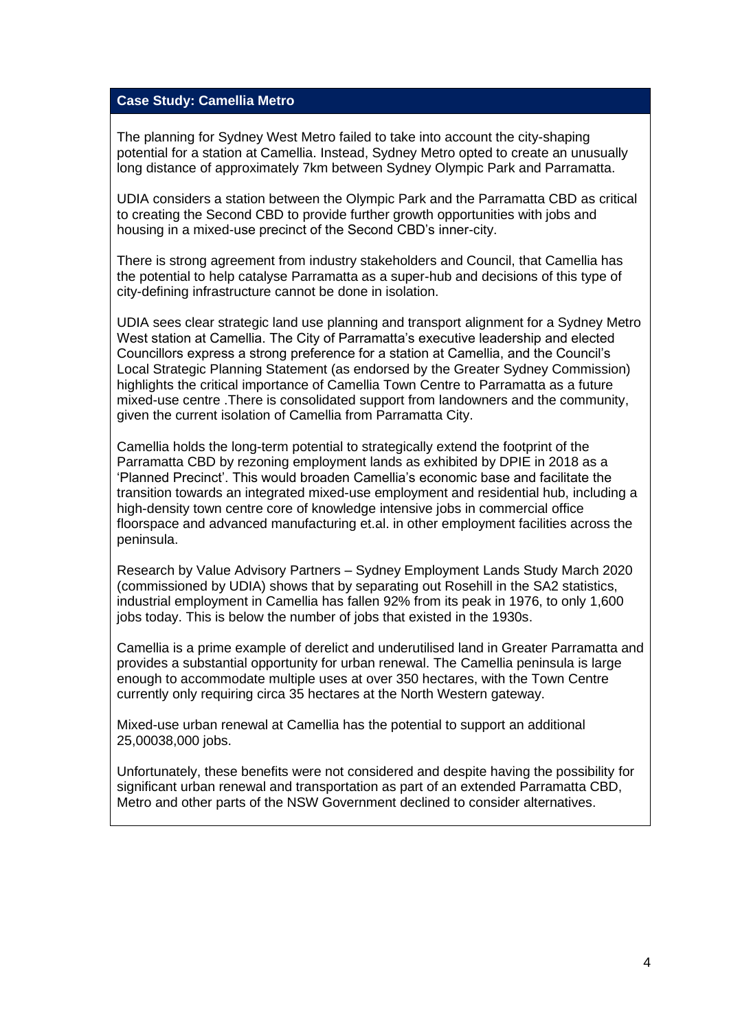# **Case Study: Camellia Metro**

The planning for Sydney West Metro failed to take into account the city-shaping potential for a station at Camellia. Instead, Sydney Metro opted to create an unusually long distance of approximately 7km between Sydney Olympic Park and Parramatta.

UDIA considers a station between the Olympic Park and the Parramatta CBD as critical to creating the Second CBD to provide further growth opportunities with jobs and housing in a mixed-use precinct of the Second CBD's inner-city.

There is strong agreement from industry stakeholders and Council, that Camellia has the potential to help catalyse Parramatta as a super-hub and decisions of this type of city-defining infrastructure cannot be done in isolation.

UDIA sees clear strategic land use planning and transport alignment for a Sydney Metro West station at Camellia. The City of Parramatta's executive leadership and elected Councillors express a strong preference for a station at Camellia, and the Council's Local Strategic Planning Statement (as endorsed by the Greater Sydney Commission) highlights the critical importance of Camellia Town Centre to Parramatta as a future mixed-use centre .There is consolidated support from landowners and the community, given the current isolation of Camellia from Parramatta City.

Camellia holds the long-term potential to strategically extend the footprint of the Parramatta CBD by rezoning employment lands as exhibited by DPIE in 2018 as a 'Planned Precinct'. This would broaden Camellia's economic base and facilitate the transition towards an integrated mixed-use employment and residential hub, including a high-density town centre core of knowledge intensive jobs in commercial office floorspace and advanced manufacturing et.al. in other employment facilities across the peninsula.

Research by Value Advisory Partners – Sydney Employment Lands Study March 2020 (commissioned by UDIA) shows that by separating out Rosehill in the SA2 statistics, industrial employment in Camellia has fallen 92% from its peak in 1976, to only 1,600 jobs today. This is below the number of jobs that existed in the 1930s.

Camellia is a prime example of derelict and underutilised land in Greater Parramatta and provides a substantial opportunity for urban renewal. The Camellia peninsula is large enough to accommodate multiple uses at over 350 hectares, with the Town Centre currently only requiring circa 35 hectares at the North Western gateway.

Mixed-use urban renewal at Camellia has the potential to support an additional 25,00038,000 jobs.

Unfortunately, these benefits were not considered and despite having the possibility for significant urban renewal and transportation as part of an extended Parramatta CBD, Metro and other parts of the NSW Government declined to consider alternatives.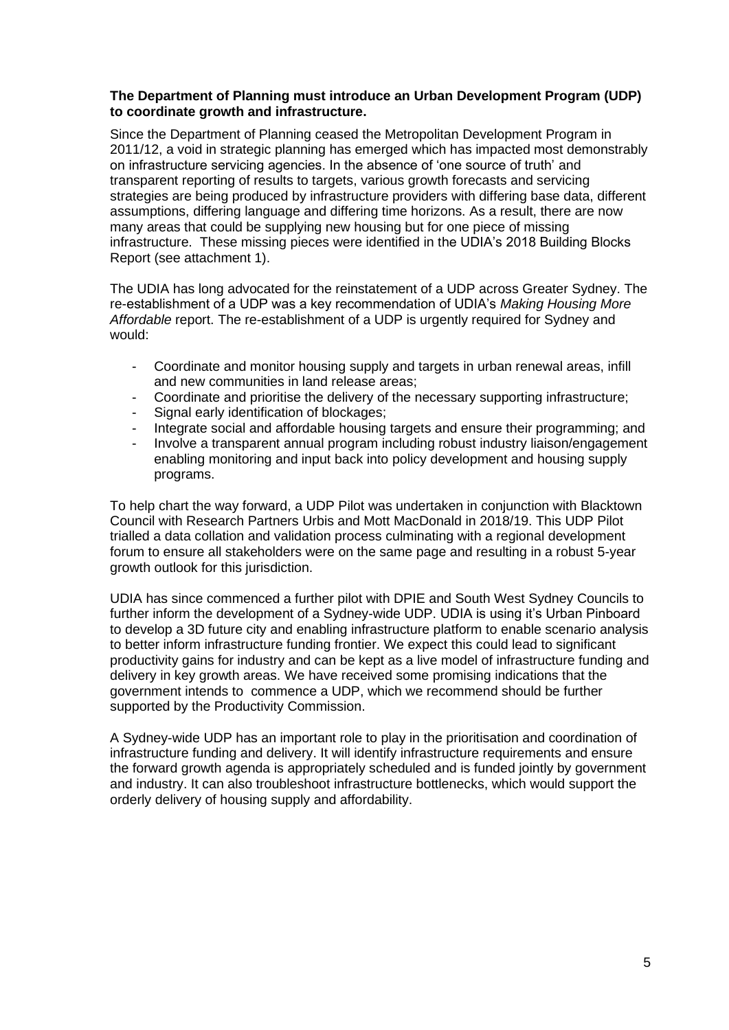## **The Department of Planning must introduce an Urban Development Program (UDP) to coordinate growth and infrastructure.**

Since the Department of Planning ceased the Metropolitan Development Program in 2011/12, a void in strategic planning has emerged which has impacted most demonstrably on infrastructure servicing agencies. In the absence of 'one source of truth' and transparent reporting of results to targets, various growth forecasts and servicing strategies are being produced by infrastructure providers with differing base data, different assumptions, differing language and differing time horizons. As a result, there are now many areas that could be supplying new housing but for one piece of missing infrastructure. These missing pieces were identified in the UDIA's 2018 Building Blocks Report (see attachment 1).

The UDIA has long advocated for the reinstatement of a UDP across Greater Sydney. The re-establishment of a UDP was a key recommendation of UDIA's *Making Housing More Affordable* report. The re-establishment of a UDP is urgently required for Sydney and would:

- Coordinate and monitor housing supply and targets in urban renewal areas, infill and new communities in land release areas;
- Coordinate and prioritise the delivery of the necessary supporting infrastructure;
- Signal early identification of blockages;
- Integrate social and affordable housing targets and ensure their programming; and
- Involve a transparent annual program including robust industry liaison/engagement enabling monitoring and input back into policy development and housing supply programs.

To help chart the way forward, a UDP Pilot was undertaken in conjunction with Blacktown Council with Research Partners Urbis and Mott MacDonald in 2018/19. This UDP Pilot trialled a data collation and validation process culminating with a regional development forum to ensure all stakeholders were on the same page and resulting in a robust 5-year growth outlook for this jurisdiction.

UDIA has since commenced a further pilot with DPIE and South West Sydney Councils to further inform the development of a Sydney-wide UDP. UDIA is using it's Urban Pinboard to develop a 3D future city and enabling infrastructure platform to enable scenario analysis to better inform infrastructure funding frontier. We expect this could lead to significant productivity gains for industry and can be kept as a live model of infrastructure funding and delivery in key growth areas. We have received some promising indications that the government intends to commence a UDP, which we recommend should be further supported by the Productivity Commission.

A Sydney-wide UDP has an important role to play in the prioritisation and coordination of infrastructure funding and delivery. It will identify infrastructure requirements and ensure the forward growth agenda is appropriately scheduled and is funded jointly by government and industry. It can also troubleshoot infrastructure bottlenecks, which would support the orderly delivery of housing supply and affordability.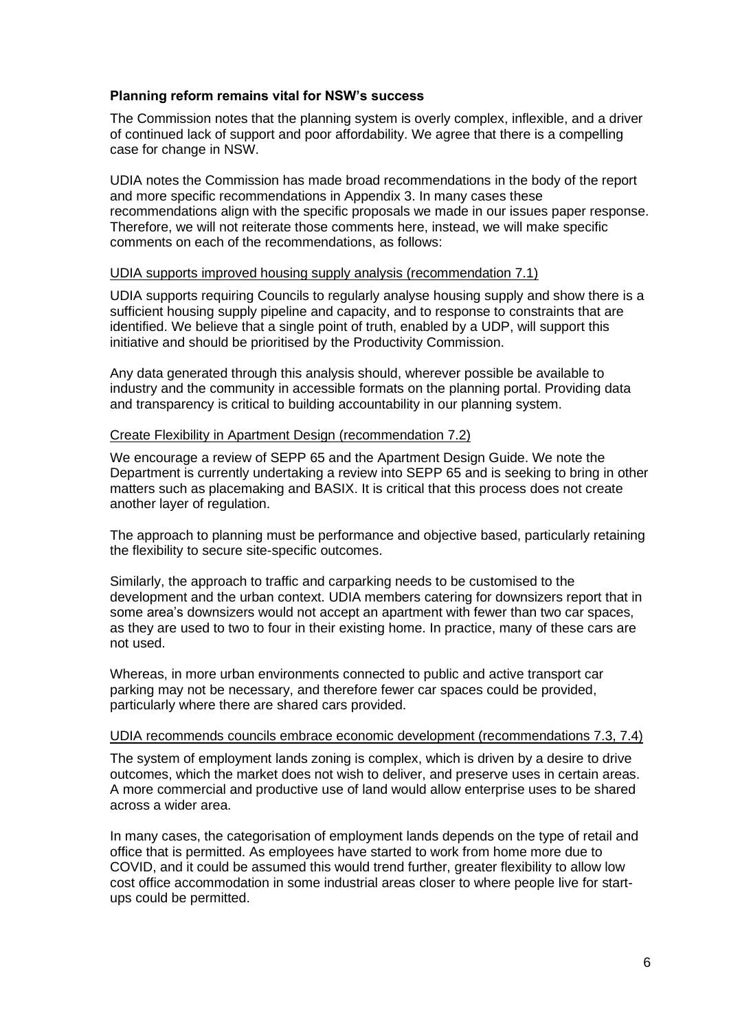## **Planning reform remains vital for NSW's success**

The Commission notes that the planning system is overly complex, inflexible, and a driver of continued lack of support and poor affordability. We agree that there is a compelling case for change in NSW.

UDIA notes the Commission has made broad recommendations in the body of the report and more specific recommendations in Appendix 3. In many cases these recommendations align with the specific proposals we made in our issues paper response. Therefore, we will not reiterate those comments here, instead, we will make specific comments on each of the recommendations, as follows:

## UDIA supports improved housing supply analysis (recommendation 7.1)

UDIA supports requiring Councils to regularly analyse housing supply and show there is a sufficient housing supply pipeline and capacity, and to response to constraints that are identified. We believe that a single point of truth, enabled by a UDP, will support this initiative and should be prioritised by the Productivity Commission.

Any data generated through this analysis should, wherever possible be available to industry and the community in accessible formats on the planning portal. Providing data and transparency is critical to building accountability in our planning system.

# Create Flexibility in Apartment Design (recommendation 7.2)

We encourage a review of SEPP 65 and the Apartment Design Guide. We note the Department is currently undertaking a review into SEPP 65 and is seeking to bring in other matters such as placemaking and BASIX. It is critical that this process does not create another layer of regulation.

The approach to planning must be performance and objective based, particularly retaining the flexibility to secure site-specific outcomes.

Similarly, the approach to traffic and carparking needs to be customised to the development and the urban context. UDIA members catering for downsizers report that in some area's downsizers would not accept an apartment with fewer than two car spaces, as they are used to two to four in their existing home. In practice, many of these cars are not used.

Whereas, in more urban environments connected to public and active transport car parking may not be necessary, and therefore fewer car spaces could be provided, particularly where there are shared cars provided.

#### UDIA recommends councils embrace economic development (recommendations 7.3, 7.4)

The system of employment lands zoning is complex, which is driven by a desire to drive outcomes, which the market does not wish to deliver, and preserve uses in certain areas. A more commercial and productive use of land would allow enterprise uses to be shared across a wider area.

In many cases, the categorisation of employment lands depends on the type of retail and office that is permitted. As employees have started to work from home more due to COVID, and it could be assumed this would trend further, greater flexibility to allow low cost office accommodation in some industrial areas closer to where people live for startups could be permitted.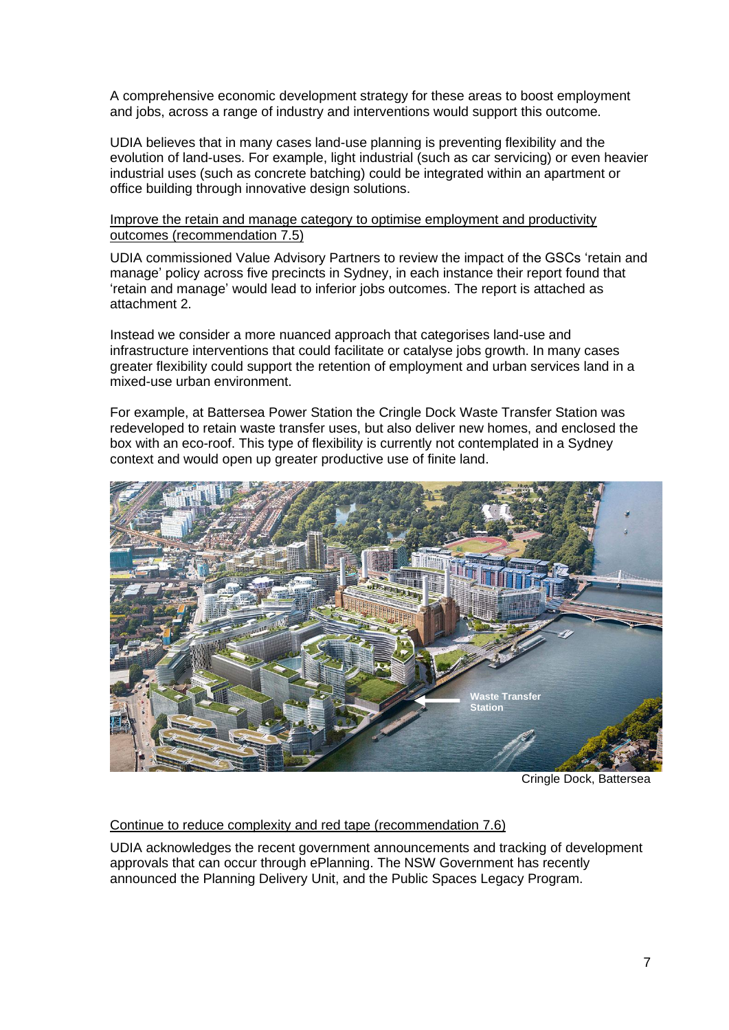A comprehensive economic development strategy for these areas to boost employment and jobs, across a range of industry and interventions would support this outcome.

UDIA believes that in many cases land-use planning is preventing flexibility and the evolution of land-uses. For example, light industrial (such as car servicing) or even heavier industrial uses (such as concrete batching) could be integrated within an apartment or office building through innovative design solutions.

#### Improve the retain and manage category to optimise employment and productivity outcomes (recommendation 7.5)

UDIA commissioned Value Advisory Partners to review the impact of the GSCs 'retain and manage' policy across five precincts in Sydney, in each instance their report found that 'retain and manage' would lead to inferior jobs outcomes. The report is attached as attachment 2.

Instead we consider a more nuanced approach that categorises land-use and infrastructure interventions that could facilitate or catalyse jobs growth. In many cases greater flexibility could support the retention of employment and urban services land in a mixed-use urban environment.

For example, at Battersea Power Station the Cringle Dock Waste Transfer Station was redeveloped to retain waste transfer uses, but also deliver new homes, and enclosed the box with an eco-roof. This type of flexibility is currently not contemplated in a Sydney context and would open up greater productive use of finite land.



Cringle Dock, Battersea

#### Continue to reduce complexity and red tape (recommendation 7.6)

UDIA acknowledges the recent government announcements and tracking of development approvals that can occur through ePlanning. The NSW Government has recently announced the Planning Delivery Unit, and the Public Spaces Legacy Program.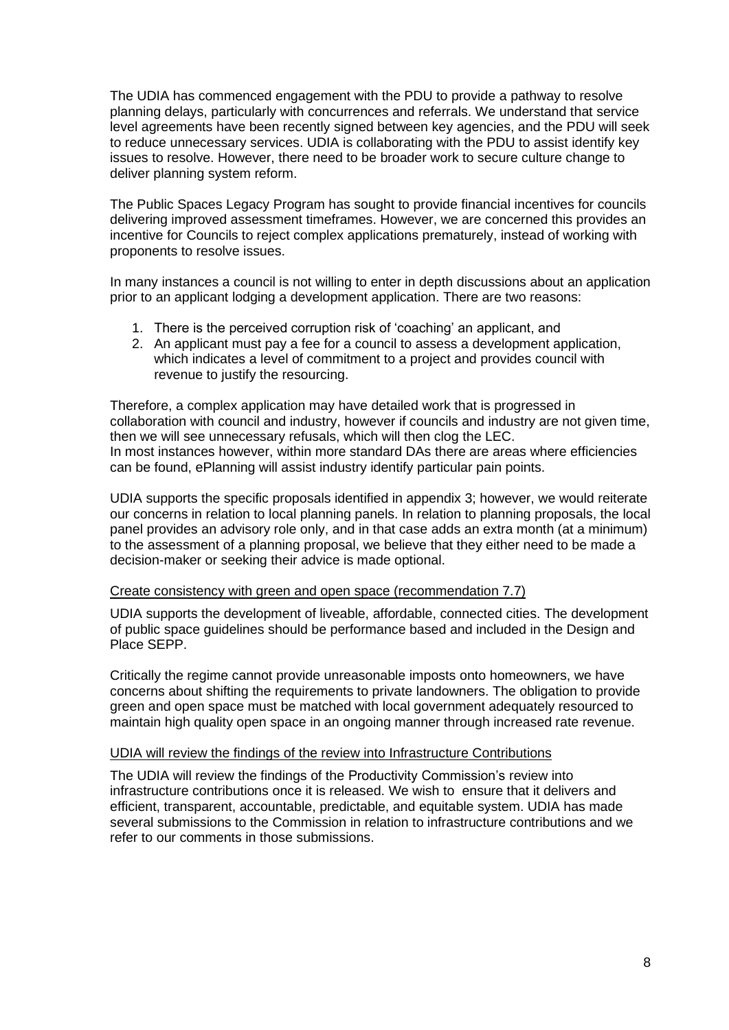The UDIA has commenced engagement with the PDU to provide a pathway to resolve planning delays, particularly with concurrences and referrals. We understand that service level agreements have been recently signed between key agencies, and the PDU will seek to reduce unnecessary services. UDIA is collaborating with the PDU to assist identify key issues to resolve. However, there need to be broader work to secure culture change to deliver planning system reform.

The Public Spaces Legacy Program has sought to provide financial incentives for councils delivering improved assessment timeframes. However, we are concerned this provides an incentive for Councils to reject complex applications prematurely, instead of working with proponents to resolve issues.

In many instances a council is not willing to enter in depth discussions about an application prior to an applicant lodging a development application. There are two reasons:

- 1. There is the perceived corruption risk of 'coaching' an applicant, and
- 2. An applicant must pay a fee for a council to assess a development application, which indicates a level of commitment to a project and provides council with revenue to justify the resourcing.

Therefore, a complex application may have detailed work that is progressed in collaboration with council and industry, however if councils and industry are not given time, then we will see unnecessary refusals, which will then clog the LEC. In most instances however, within more standard DAs there are areas where efficiencies can be found, ePlanning will assist industry identify particular pain points.

UDIA supports the specific proposals identified in appendix 3; however, we would reiterate our concerns in relation to local planning panels. In relation to planning proposals, the local panel provides an advisory role only, and in that case adds an extra month (at a minimum) to the assessment of a planning proposal, we believe that they either need to be made a decision-maker or seeking their advice is made optional.

#### Create consistency with green and open space (recommendation 7.7)

UDIA supports the development of liveable, affordable, connected cities. The development of public space guidelines should be performance based and included in the Design and Place SEPP.

Critically the regime cannot provide unreasonable imposts onto homeowners, we have concerns about shifting the requirements to private landowners. The obligation to provide green and open space must be matched with local government adequately resourced to maintain high quality open space in an ongoing manner through increased rate revenue.

#### UDIA will review the findings of the review into Infrastructure Contributions

The UDIA will review the findings of the Productivity Commission's review into infrastructure contributions once it is released. We wish to ensure that it delivers and efficient, transparent, accountable, predictable, and equitable system. UDIA has made several submissions to the Commission in relation to infrastructure contributions and we refer to our comments in those submissions.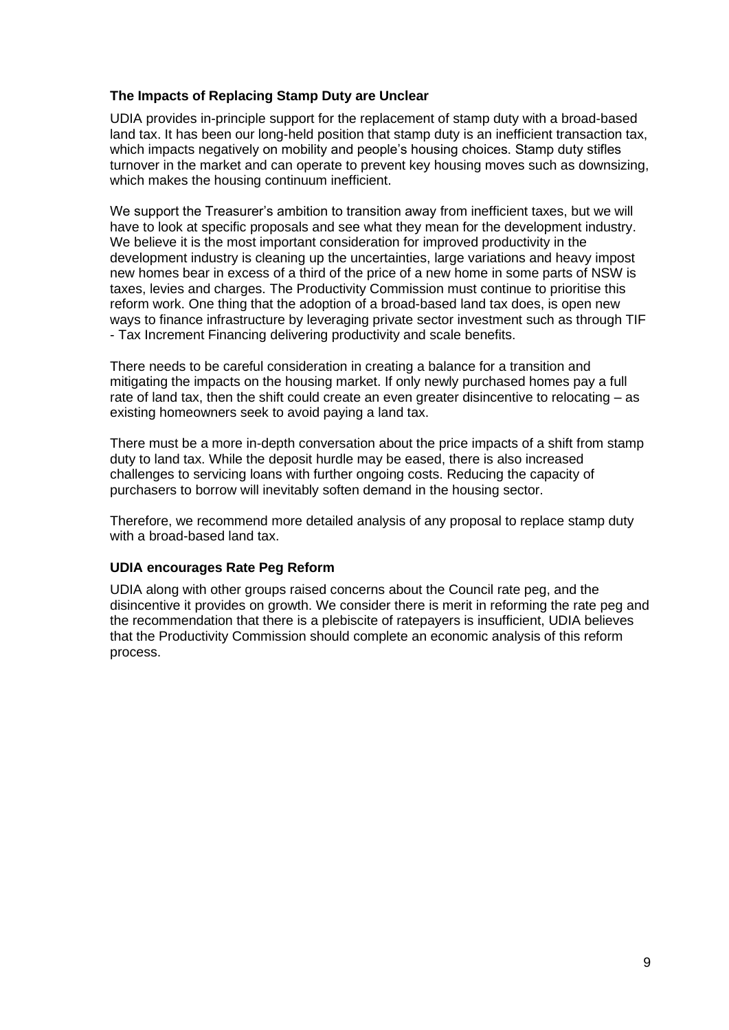# **The Impacts of Replacing Stamp Duty are Unclear**

UDIA provides in-principle support for the replacement of stamp duty with a broad-based land tax. It has been our long-held position that stamp duty is an inefficient transaction tax. which impacts negatively on mobility and people's housing choices. Stamp duty stifles turnover in the market and can operate to prevent key housing moves such as downsizing, which makes the housing continuum inefficient.

We support the Treasurer's ambition to transition away from inefficient taxes, but we will have to look at specific proposals and see what they mean for the development industry. We believe it is the most important consideration for improved productivity in the development industry is cleaning up the uncertainties, large variations and heavy impost new homes bear in excess of a third of the price of a new home in some parts of NSW is taxes, levies and charges. The Productivity Commission must continue to prioritise this reform work. One thing that the adoption of a broad-based land tax does, is open new ways to finance infrastructure by leveraging private sector investment such as through TIF - Tax Increment Financing delivering productivity and scale benefits.

There needs to be careful consideration in creating a balance for a transition and mitigating the impacts on the housing market. If only newly purchased homes pay a full rate of land tax, then the shift could create an even greater disincentive to relocating – as existing homeowners seek to avoid paying a land tax.

There must be a more in-depth conversation about the price impacts of a shift from stamp duty to land tax. While the deposit hurdle may be eased, there is also increased challenges to servicing loans with further ongoing costs. Reducing the capacity of purchasers to borrow will inevitably soften demand in the housing sector.

Therefore, we recommend more detailed analysis of any proposal to replace stamp duty with a broad-based land tax.

# **UDIA encourages Rate Peg Reform**

UDIA along with other groups raised concerns about the Council rate peg, and the disincentive it provides on growth. We consider there is merit in reforming the rate peg and the recommendation that there is a plebiscite of ratepayers is insufficient, UDIA believes that the Productivity Commission should complete an economic analysis of this reform process.